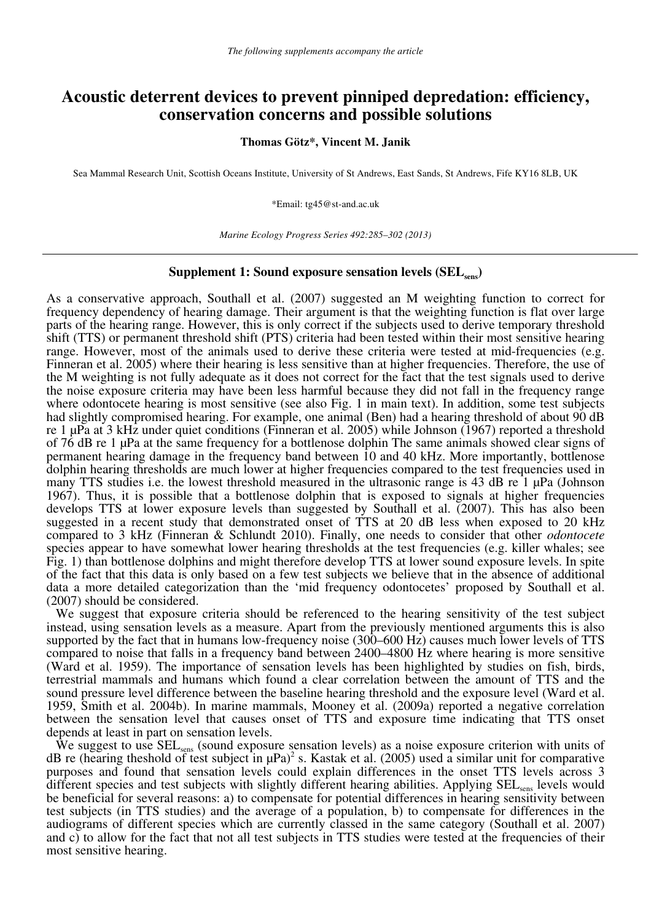# **Acoustic deterrent devices to prevent pinniped depredation: efficiency, conservation concerns and possible solutions**

### **Thomas Götz\*, Vincent M. Janik**

Sea Mammal Research Unit, Scottish Oceans Institute, University of St Andrews, East Sands, St Andrews, Fife KY16 8LB, UK

\*Email: tg45@st-and.ac.uk

*Marine Ecology Progress Series 492:285–302 (2013)* 

### **Supplement 1: Sound exposure sensation levels (SEL<sub>sens</sub>)**

As a conservative approach, Southall et al. (2007) suggested an M weighting function to correct for frequency dependency of hearing damage. Their argument is that the weighting function is flat over large parts of the hearing range. However, this is only correct if the subjects used to derive temporary threshold shift (TTS) or permanent threshold shift (PTS) criteria had been tested within their most sensitive hearing range. However, most of the animals used to derive these criteria were tested at mid-frequencies (e.g. Finneran et al. 2005) where their hearing is less sensitive than at higher frequencies. Therefore, the use of the M weighting is not fully adequate as it does not correct for the fact that the test signals used to derive the noise exposure criteria may have been less harmful because they did not fall in the frequency range where odontocete hearing is most sensitive (see also Fig. 1 in main text). In addition, some test subjects had slightly compromised hearing. For example, one animal (Ben) had a hearing threshold of about 90 dB re 1 μPa at 3 kHz under quiet conditions (Finneran et al. 2005) while Johnson (1967) reported a threshold of 76 dB re 1 μPa at the same frequency for a bottlenose dolphin The same animals showed clear signs of permanent hearing damage in the frequency band between 10 and 40 kHz. More importantly, bottlenose dolphin hearing thresholds are much lower at higher frequencies compared to the test frequencies used in many TTS studies i.e. the lowest threshold measured in the ultrasonic range is 43 dB re 1 μPa (Johnson 1967). Thus, it is possible that a bottlenose dolphin that is exposed to signals at higher frequencies develops TTS at lower exposure levels than suggested by Southall et al. (2007). This has also been suggested in a recent study that demonstrated onset of TTS at 20 dB less when exposed to 20 kHz compared to 3 kHz (Finneran & Schlundt 2010). Finally, one needs to consider that other *odontocete* species appear to have somewhat lower hearing thresholds at the test frequencies (e.g. killer whales; see Fig. 1) than bottlenose dolphins and might therefore develop TTS at lower sound exposure levels. In spite of the fact that this data is only based on a few test subjects we believe that in the absence of additional data a more detailed categorization than the 'mid frequency odontocetes' proposed by Southall et al. (2007) should be considered.

We suggest that exposure criteria should be referenced to the hearing sensitivity of the test subject instead, using sensation levels as a measure. Apart from the previously mentioned arguments this is also supported by the fact that in humans low-frequency noise (300–600 Hz) causes much lower levels of TTS compared to noise that falls in a frequency band between 2400–4800 Hz where hearing is more sensitive (Ward et al. 1959). The importance of sensation levels has been highlighted by studies on fish, birds, terrestrial mammals and humans which found a clear correlation between the amount of TTS and the sound pressure level difference between the baseline hearing threshold and the exposure level (Ward et al. 1959, Smith et al. 2004b). In marine mammals, Mooney et al. (2009a) reported a negative correlation between the sensation level that causes onset of TTS and exposure time indicating that TTS onset depends at least in part on sensation levels.

We suggest to use  $SEL<sub>sens</sub>$  (sound exposure sensation levels) as a noise exposure criterion with units of dB re (hearing theshold of test subject in  $\mu$ Pa)<sup>2</sup> s. Kastak et al. (2005) used a similar unit for comparative purposes and found that sensation levels could explain differences in the onset TTS levels across 3 different species and test subjects with slightly different hearing abilities. Applying SEL<sub>sens</sub> levels would be beneficial for several reasons: a) to compensate for potential differences in hearing sensitivity between test subjects (in TTS studies) and the average of a population, b) to compensate for differences in the audiograms of different species which are currently classed in the same category (Southall et al. 2007) and c) to allow for the fact that not all test subjects in TTS studies were tested at the frequencies of their most sensitive hearing.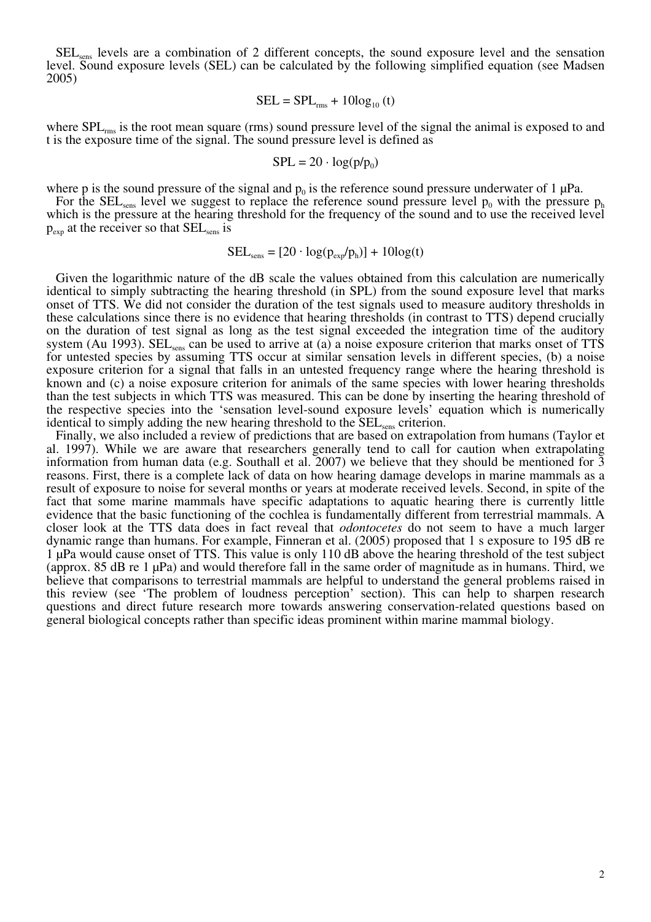SEL<sub>sens</sub> levels are a combination of 2 different concepts, the sound exposure level and the sensation level. Sound exposure levels (SEL) can be calculated by the following simplified equation (see Madsen 2005)

$$
SEL = SPL_{rms} + 10log_{10}(t)
$$

where SPL<sub>rms</sub> is the root mean square (rms) sound pressure level of the signal the animal is exposed to and t is the exposure time of the signal. The sound pressure level is defined as

$$
SPL = 20 \cdot \log(p/p_0)
$$

where p is the sound pressure of the signal and  $p_0$  is the reference sound pressure underwater of 1  $\mu$ Pa.

For the SEL<sub>sens</sub> level we suggest to replace the reference sound pressure level  $p_0$  with the pressure  $p_h$ which is the pressure at the hearing threshold for the frequency of the sound and to use the received level  $p_{exp}$  at the receiver so that  $SEL_{sens}$  is

$$
SEL_{\text{sens}} = [20 \cdot \log(p_{\text{exp}}/p_h)] + 10\log(t)
$$

Given the logarithmic nature of the dB scale the values obtained from this calculation are numerically identical to simply subtracting the hearing threshold (in SPL) from the sound exposure level that marks onset of TTS. We did not consider the duration of the test signals used to measure auditory thresholds in these calculations since there is no evidence that hearing thresholds (in contrast to TTS) depend crucially on the duration of test signal as long as the test signal exceeded the integration time of the auditory system (Au 1993).  $SEL<sub>sens</sub>$  can be used to arrive at (a) a noise exposure criterion that marks onset of TTS for untested species by assuming TTS occur at similar sensation levels in different species, (b) a noise exposure criterion for a signal that falls in an untested frequency range where the hearing threshold is known and (c) a noise exposure criterion for animals of the same species with lower hearing thresholds than the test subjects in which TTS was measured. This can be done by inserting the hearing threshold of the respective species into the 'sensation level-sound exposure levels' equation which is numerically identical to simply adding the new hearing threshold to the  $SEL<sub>sens</sub>$  criterion.

Finally, we also included a review of predictions that are based on extrapolation from humans (Taylor et al. 1997). While we are aware that researchers generally tend to call for caution when extrapolating information from human data (e.g. Southall et al. 2007) we believe that they should be mentioned for  $\bar{3}$ reasons. First, there is a complete lack of data on how hearing damage develops in marine mammals as a result of exposure to noise for several months or years at moderate received levels. Second, in spite of the fact that some marine mammals have specific adaptations to aquatic hearing there is currently little evidence that the basic functioning of the cochlea is fundamentally different from terrestrial mammals. A closer look at the TTS data does in fact reveal that *odontocetes* do not seem to have a much larger dynamic range than humans. For example, Finneran et al. (2005) proposed that 1 s exposure to 195 dB re 1 μPa would cause onset of TTS. This value is only 110 dB above the hearing threshold of the test subject (approx. 85 dB re 1 μPa) and would therefore fall in the same order of magnitude as in humans. Third, we believe that comparisons to terrestrial mammals are helpful to understand the general problems raised in this review (see 'The problem of loudness perception' section). This can help to sharpen research questions and direct future research more towards answering conservation-related questions based on general biological concepts rather than specific ideas prominent within marine mammal biology.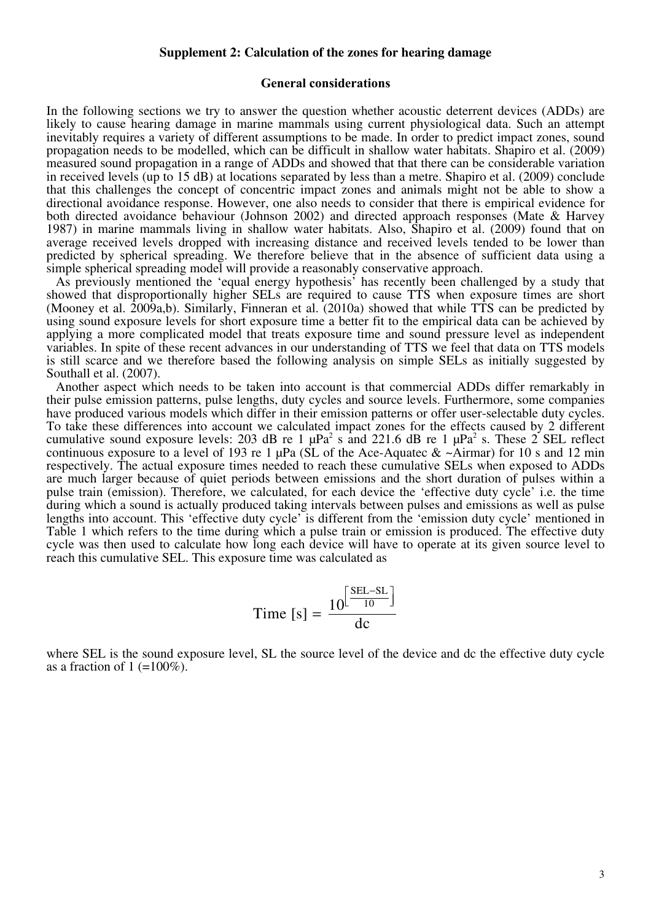### **Supplement 2: Calculation of the zones for hearing damage**

### **General considerations**

In the following sections we try to answer the question whether acoustic deterrent devices (ADDs) are likely to cause hearing damage in marine mammals using current physiological data. Such an attempt inevitably requires a variety of different assumptions to be made. In order to predict impact zones, sound propagation needs to be modelled, which can be difficult in shallow water habitats. Shapiro et al. (2009) measured sound propagation in a range of ADDs and showed that that there can be considerable variation in received levels (up to 15 dB) at locations separated by less than a metre. Shapiro et al. (2009) conclude that this challenges the concept of concentric impact zones and animals might not be able to show a directional avoidance response. However, one also needs to consider that there is empirical evidence for both directed avoidance behaviour (Johnson 2002) and directed approach responses (Mate & Harvey 1987) in marine mammals living in shallow water habitats. Also, Shapiro et al. (2009) found that on average received levels dropped with increasing distance and received levels tended to be lower than predicted by spherical spreading. We therefore believe that in the absence of sufficient data using a simple spherical spreading model will provide a reasonably conservative approach.

As previously mentioned the 'equal energy hypothesis' has recently been challenged by a study that showed that disproportionally higher SELs are required to cause TTS when exposure times are short (Mooney et al. 2009a,b). Similarly, Finneran et al. (2010a) showed that while TTS can be predicted by using sound exposure levels for short exposure time a better fit to the empirical data can be achieved by applying a more complicated model that treats exposure time and sound pressure level as independent variables. In spite of these recent advances in our understanding of TTS we feel that data on TTS models is still scarce and we therefore based the following analysis on simple SELs as initially suggested by Southall et al. (2007).

Another aspect which needs to be taken into account is that commercial ADDs differ remarkably in their pulse emission patterns, pulse lengths, duty cycles and source levels. Furthermore, some companies have produced various models which differ in their emission patterns or offer user-selectable duty cycles. To take these differences into account we calculated impact zones for the effects caused by 2 different cumulative sound exposure levels: 203 dB re 1  $\mu$ Pa<sup>2</sup> s and 221.6 dB re 1  $\mu$ Pa<sup>2</sup> s. These 2 SEL reflect continuous exposure to a level of 193 re 1  $\mu$ Pa (SL of the Ace-Aquatec & ~Airmar) for 10 s and 12 min respectively. The actual exposure times needed to reach these cumulative SELs when exposed to ADDs are much larger because of quiet periods between emissions and the short duration of pulses within a pulse train (emission). Therefore, we calculated, for each device the 'effective duty cycle' i.e. the time during which a sound is actually produced taking intervals between pulses and emissions as well as pulse lengths into account. This 'effective duty cycle' is different from the 'emission duty cycle' mentioned in Table 1 which refers to the time during which a pulse train or emission is produced. The effective duty cycle was then used to calculate how long each device will have to operate at its given source level to reach this cumulative SEL. This exposure time was calculated as

$$
Time [s] = \frac{10^{\left[\frac{SEL-SL}{10}\right]}}{dc}
$$

where SEL is the sound exposure level, SL the source level of the device and dc the effective duty cycle as a fraction of  $1 (=100\%)$ .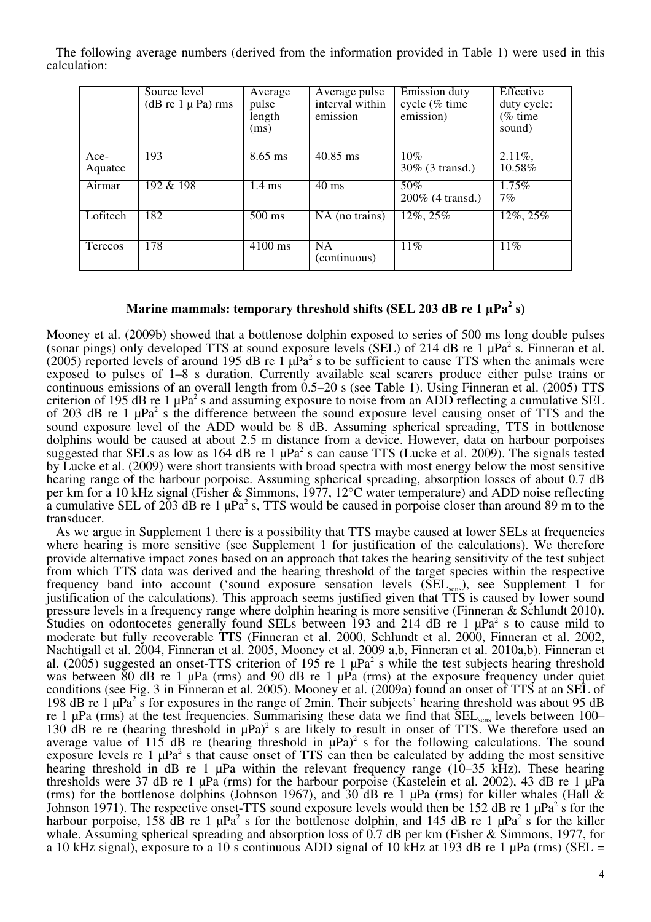The following average numbers (derived from the information provided in Table 1) were used in this calculation:

|                 | Source level<br>(dB re $1 \mu$ Pa) rms | Average<br>pulse<br>length<br>(ms) | Average pulse<br>interval within<br>emission | <b>Emission</b> duty<br>cycle (% time<br>emission) | Effective<br>duty cycle:<br>$%$ time<br>sound) |
|-----------------|----------------------------------------|------------------------------------|----------------------------------------------|----------------------------------------------------|------------------------------------------------|
| Ace-<br>Aquatec | 193                                    | $8.65$ ms                          | $40.85$ ms                                   | 10%<br>30% (3 transd.)                             | $2.11\%$ ,<br>10.58%                           |
| Airmar          | 192 & 198                              | $1.4 \text{ ms}$                   | $40 \text{ ms}$                              | 50%<br>200% (4 transd.)                            | 1.75%<br>$7\%$                                 |
| Lofitech        | 182                                    | $500 \text{ ms}$                   | NA (no trains)                               | $12\%, 25\%$                                       | $12\%, 25\%$                                   |
| Terecos         | 178                                    | 4100 ms                            | <b>NA</b><br>(continuous)                    | 11%                                                | 11%                                            |

## **Marine mammals: temporary threshold shifts (SEL 203 dB re 1 Pa<sup>2</sup> s)**

Mooney et al. (2009b) showed that a bottlenose dolphin exposed to series of 500 ms long double pulses (sonar pings) only developed TTS at sound exposure levels (SEL) of 214 dB re 1  $\mu$ Pa<sup>2</sup> s. Finneran et al.  $(2005)$  reported levels of around 195 dB re 1  $\mu$ Pa<sup>2</sup> s to be sufficient to cause TTS when the animals were exposed to pulses of 1–8 s duration. Currently available seal scarers produce either pulse trains or continuous emissions of an overall length from 0.5–20 s (see Table 1). Using Finneran et al. (2005) TTS criterion of 195 dB re 1  $\mu$ Pa<sup>2</sup> s and assuming exposure to noise from an ADD reflecting a cumulative SEL of 203 dB re 1  $\mu$ Pa<sup>2</sup> s the difference between the sound exposure level causing onset of TTS and the sound exposure level of the ADD would be 8 dB. Assuming spherical spreading, TTS in bottlenose dolphins would be caused at about 2.5 m distance from a device. However, data on harbour porpoises suggested that SELs as low as 164 dB re 1  $\mu$ Pa<sup>2</sup> s can cause TTS (Lucke et al. 2009). The signals tested by Lucke et al. (2009) were short transients with broad spectra with most energy below the most sensitive hearing range of the harbour porpoise. Assuming spherical spreading, absorption losses of about 0.7 dB per km for a 10 kHz signal (Fisher & Simmons, 1977, 12°C water temperature) and ADD noise reflecting a cumulative SEL of 203 dB re 1  $\mu$ Pa<sup>2</sup> s, TTS would be caused in porpoise closer than around 89 m to the transducer.

As we argue in Supplement 1 there is a possibility that TTS maybe caused at lower SELs at frequencies where hearing is more sensitive (see Supplement 1 for justification of the calculations). We therefore provide alternative impact zones based on an approach that takes the hearing sensitivity of the test subject from which TTS data was derived and the hearing threshold of the target species within the respective frequency band into account ('sound exposure sensation levels (SEL<sub>sens</sub>), see Supplement 1 for justification of the calculations). This approach seems justified given that TTS is caused by lower sound pressure levels in a frequency range where dolphin hearing is more sensitive (Finneran & Schlundt 2010). Studies on odontocetes generally found SELs between 193 and 214 dB re 1  $\mu$ Pa<sup>2</sup> s to cause mild to moderate but fully recoverable TTS (Finneran et al. 2000, Schlundt et al. 2000, Finneran et al. 2002, Nachtigall et al. 2004, Finneran et al. 2005, Mooney et al. 2009 a,b, Finneran et al. 2010a,b). Finneran et al. (2005) suggested an onset-TTS criterion of 195 re 1  $\mu$ Pa<sup>2</sup> s while the test subjects hearing threshold was between 80 dB re 1 μPa (rms) and 90 dB re 1 μPa (rms) at the exposure frequency under quiet conditions (see Fig. 3 in Finneran et al. 2005). Mooney et al. (2009a) found an onset of TTS at an SEL of 198 dB re 1  $\mu$ Pa<sup>2</sup> s for exposures in the range of 2min. Their subjects' hearing threshold was about 95 dB re 1 μPa (rms) at the test frequencies. Summarising these data we find that  $SEL<sub>sens</sub>$  levels between 100– 130 dB re re (hearing threshold in  $\mu$ Pa)<sup>2</sup> s are likely to result in onset of TTS. We therefore used an average value of 115 dB re (hearing threshold in  $\mu$ Pa)<sup>2</sup> s for the following calculations. The sound exposure levels re 1  $\mu$ Pa<sup>2</sup> s that cause onset of TTS can then be calculated by adding the most sensitive hearing threshold in dB re 1 μPa within the relevant frequency range (10–35 kHz). These hearing thresholds were 37 dB re 1 μPa (rms) for the harbour porpoise (Kastelein et al. 2002), 43 dB re 1 μPa (rms) for the bottlenose dolphins (Johnson 1967), and 30 dB re 1  $\mu$ Pa (rms) for killer whales (Hall & Johnson 1971). The respective onset-TTS sound exposure levels would then be 152 dB re 1  $\mu$ Pa<sup>2</sup> s for the harbour porpoise, 158 dB re 1  $\mu$ Pa<sup>2</sup> s for the bottlenose dolphin, and 145 dB re 1  $\mu$ Pa<sup>2</sup> s for the killer whale. Assuming spherical spreading and absorption loss of 0.7 dB per km (Fisher & Simmons, 1977, for a 10 kHz signal), exposure to a 10 s continuous ADD signal of 10 kHz at 193 dB re 1  $\mu$ Pa (rms) (SEL =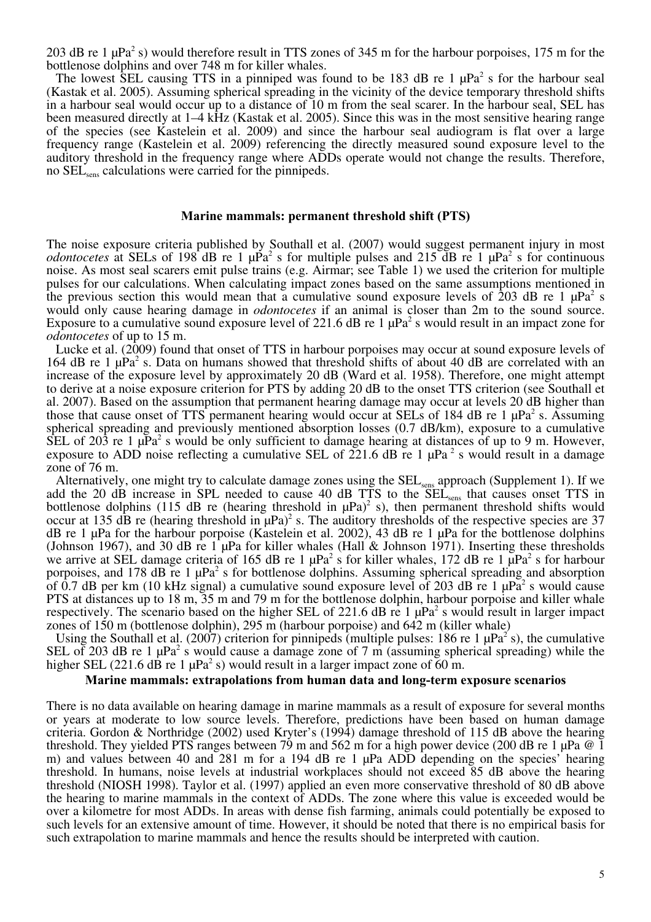203 dB re 1  $\mu$ Pa<sup>2</sup> s) would therefore result in TTS zones of 345 m for the harbour porpoises, 175 m for the bottlenose dolphins and over 748 m for killer whales.

The lowest SEL causing TTS in a pinniped was found to be 183 dB re 1  $\mu$ Pa<sup>2</sup> s for the harbour seal (Kastak et al. 2005). Assuming spherical spreading in the vicinity of the device temporary threshold shifts in a harbour seal would occur up to a distance of 10 m from the seal scarer. In the harbour seal, SEL has been measured directly at 1–4 kHz (Kastak et al. 2005). Since this was in the most sensitive hearing range of the species (see Kastelein et al. 2009) and since the harbour seal audiogram is flat over a large frequency range (Kastelein et al. 2009) referencing the directly measured sound exposure level to the auditory threshold in the frequency range where ADDs operate would not change the results. Therefore, no SEL<sub>sens</sub> calculations were carried for the pinnipeds.

### **Marine mammals: permanent threshold shift (PTS)**

The noise exposure criteria published by Southall et al. (2007) would suggest permanent injury in most *odontocetes* at SELs of 198 dB re 1  $\mu$ Pa<sup>2</sup> s for multiple pulses and 215 dB re 1  $\mu$ Pa<sup>2</sup> s for continuous noise. As most seal scarers emit pulse trains (e.g. Airmar; see Table 1) we used the criterion for multiple pulses for our calculations. When calculating impact zones based on the same assumptions mentioned in the previous section this would mean that a cumulative sound exposure levels of  $203$  dB re 1  $\mu$ Pa<sup>2</sup> s would only cause hearing damage in *odontocetes* if an animal is closer than 2m to the sound source. Exposure to a cumulative sound exposure level of 221.6 dB re 1  $\mu$ Pa<sup>2</sup> s would result in an impact zone for *odontocetes* of up to 15 m.

Lucke et al. (2009) found that onset of TTS in harbour porpoises may occur at sound exposure levels of 164 dB re 1  $\mu$ Pa<sup>2</sup> s. Data on humans showed that threshold shifts of about 40 dB are correlated with an increase of the exposure level by approximately 20 dB (Ward et al. 1958). Therefore, one might attempt to derive at a noise exposure criterion for PTS by adding 20 dB to the onset TTS criterion (see Southall et al. 2007). Based on the assumption that permanent hearing damage may occur at levels 20 dB higher than those that cause onset of TTS permanent hearing would occur at SELs of 184 dB re 1  $\mu$ Pa<sup>2</sup> s. Assuming spherical spreading and previously mentioned absorption losses (0.7 dB/km), exposure to a cumulative SEL of 203 re 1  $\mu$ Pa<sup>2</sup> s would be only sufficient to damage hearing at distances of up to 9 m. However, exposure to ADD noise reflecting a cumulative SEL of  $221.6$  dB re 1  $\mu$ Pa<sup>2</sup> s would result in a damage zone of 76 m.

Alternatively, one might try to calculate damage zones using the SEL<sub>sens</sub> approach (Supplement 1). If we add the 20 dB increase in SPL needed to cause 40 dB TTS to the SEL<sub>sens</sub> that causes onset TTS in bottlenose dolphins (115 dB re (hearing threshold in  $\mu$ Pa)<sup>2</sup> s), then permanent threshold shifts would occur at 135 dB re (hearing threshold in  $\mu$ Pa)<sup>2</sup> s. The auditory thresholds of the respective species are 37 dB re 1 μPa for the harbour porpoise (Kastelein et al. 2002), 43 dB re 1 μPa for the bottlenose dolphins (Johnson 1967), and 30 dB re 1 μPa for killer whales (Hall & Johnson 1971). Inserting these thresholds we arrive at SEL damage criteria of 165 dB re 1  $\mu$ Pa<sup>2</sup> s for killer whales, 172 dB re 1  $\mu$ Pa<sup>2</sup> s for harbour porpoises, and 178 dB re 1  $\mu$ Pa<sup>2</sup> s for bottlenose dolphins. Assuming spherical spreading and absorption of 0.7 dB per km (10 kHz signal) a cumulative sound exposure level of 203 dB re 1  $\mu$ Pa<sup>2</sup> s would cause PTS at distances up to 18 m, 35 m and 79 m for the bottlenose dolphin, harbour porpoise and killer whale respectively. The scenario based on the higher SEL of 221.6 dB re 1  $\mu$ Pa<sup>2</sup> s would result in larger impact zones of 150 m (bottlenose dolphin), 295 m (harbour porpoise) and 642 m (killer whale)

Using the Southall et al. (2007) criterion for pinnipeds (multiple pulses: 186 re 1  $\mu$ Pa<sup>2</sup> s), the cumulative SEL of 203 dB re 1  $\mu$ Pa<sup>2</sup> s would cause a damage zone of 7 m (assuming spherical spreading) while the higher SEL (221.6 dB re 1  $\mu$ Pa<sup>2</sup> s) would result in a larger impact zone of 60 m.

### **Marine mammals: extrapolations from human data and long-term exposure scenarios**

There is no data available on hearing damage in marine mammals as a result of exposure for several months or years at moderate to low source levels. Therefore, predictions have been based on human damage criteria. Gordon & Northridge (2002) used Kryter's (1994) damage threshold of 115 dB above the hearing threshold. They yielded PTS ranges between 79 m and 562 m for a high power device (200 dB re 1  $\mu$ Pa @ 1 m) and values between 40 and 281 m for a 194 dB re 1 μPa ADD depending on the species' hearing threshold. In humans, noise levels at industrial workplaces should not exceed 85 dB above the hearing threshold (NIOSH 1998). Taylor et al. (1997) applied an even more conservative threshold of 80 dB above the hearing to marine mammals in the context of ADDs. The zone where this value is exceeded would be over a kilometre for most ADDs. In areas with dense fish farming, animals could potentially be exposed to such levels for an extensive amount of time. However, it should be noted that there is no empirical basis for such extrapolation to marine mammals and hence the results should be interpreted with caution.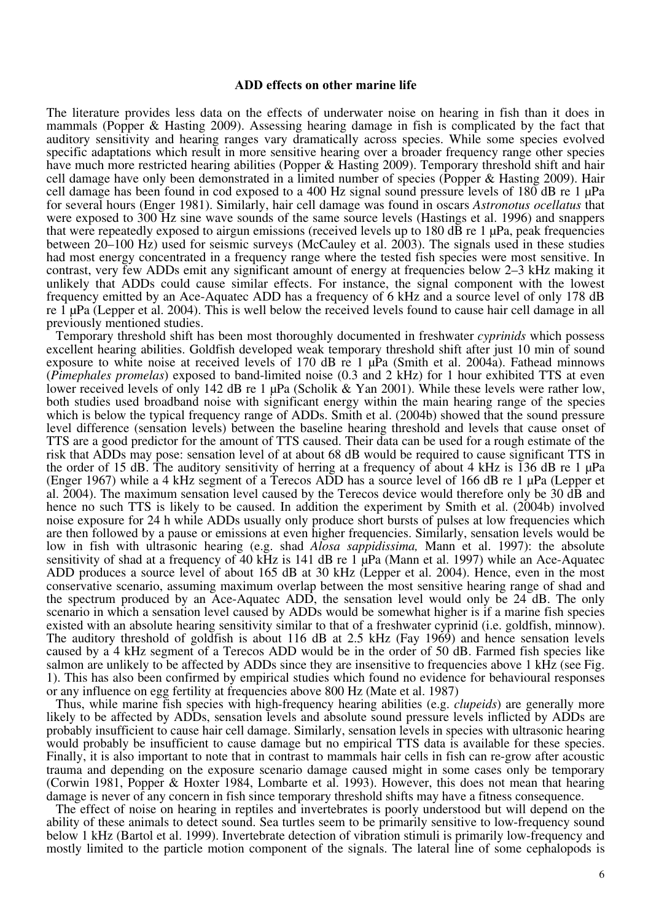### **ADD effects on other marine life**

The literature provides less data on the effects of underwater noise on hearing in fish than it does in mammals (Popper & Hasting 2009). Assessing hearing damage in fish is complicated by the fact that auditory sensitivity and hearing ranges vary dramatically across species. While some species evolved specific adaptations which result in more sensitive hearing over a broader frequency range other species have much more restricted hearing abilities (Popper & Hasting 2009). Temporary threshold shift and hair cell damage have only been demonstrated in a limited number of species (Popper & Hasting 2009). Hair cell damage has been found in cod exposed to a 400 Hz signal sound pressure levels of 180 dB re 1  $\mu$ Pa for several hours (Enger 1981). Similarly, hair cell damage was found in oscars *Astronotus ocellatus* that were exposed to 300 Hz sine wave sounds of the same source levels (Hastings et al. 1996) and snappers that were repeatedly exposed to airgun emissions (received levels up to 180 dB re 1 μPa, peak frequencies between 20–100 Hz) used for seismic surveys (McCauley et al. 2003). The signals used in these studies had most energy concentrated in a frequency range where the tested fish species were most sensitive. In contrast, very few ADDs emit any significant amount of energy at frequencies below 2–3 kHz making it unlikely that ADDs could cause similar effects. For instance, the signal component with the lowest frequency emitted by an Ace-Aquatec ADD has a frequency of 6 kHz and a source level of only 178 dB re 1 μPa (Lepper et al. 2004). This is well below the received levels found to cause hair cell damage in all previously mentioned studies.

Temporary threshold shift has been most thoroughly documented in freshwater *cyprinids* which possess excellent hearing abilities. Goldfish developed weak temporary threshold shift after just 10 min of sound exposure to white noise at received levels of 170 dB re 1 μPa (Smith et al. 2004a). Fathead minnows (*Pimephales promelas*) exposed to band-limited noise (0.3 and 2 kHz) for 1 hour exhibited TTS at even lower received levels of only 142 dB re 1 μPa (Scholik & Yan 2001). While these levels were rather low, both studies used broadband noise with significant energy within the main hearing range of the species which is below the typical frequency range of ADDs. Smith et al. (2004b) showed that the sound pressure level difference (sensation levels) between the baseline hearing threshold and levels that cause onset of TTS are a good predictor for the amount of TTS caused. Their data can be used for a rough estimate of the risk that ADDs may pose: sensation level of at about 68 dB would be required to cause significant TTS in the order of 15 dB. The auditory sensitivity of herring at a frequency of about 4 kHz is 136 dB re 1  $\mu$ Pa (Enger 1967) while a 4 kHz segment of a Terecos ADD has a source level of 166 dB re 1 μPa (Lepper et al. 2004). The maximum sensation level caused by the Terecos device would therefore only be 30 dB and hence no such TTS is likely to be caused. In addition the experiment by Smith et al. (2004b) involved noise exposure for 24 h while ADDs usually only produce short bursts of pulses at low frequencies which are then followed by a pause or emissions at even higher frequencies. Similarly, sensation levels would be low in fish with ultrasonic hearing (e.g. shad *Alosa sappidissima,* Mann et al. 1997): the absolute sensitivity of shad at a frequency of 40 kHz is 141 dB re 1 μPa (Mann et al. 1997) while an Ace-Aquatec ADD produces a source level of about 165 dB at 30 kHz (Lepper et al. 2004). Hence, even in the most conservative scenario, assuming maximum overlap between the most sensitive hearing range of shad and the spectrum produced by an Ace-Aquatec ADD, the sensation level would only be 24 dB. The only scenario in which a sensation level caused by ADDs would be somewhat higher is if a marine fish species existed with an absolute hearing sensitivity similar to that of a freshwater cyprinid (i.e. goldfish, minnow). The auditory threshold of goldfish is about 116 dB at 2.5 kHz (Fay 1969) and hence sensation levels caused by a 4 kHz segment of a Terecos ADD would be in the order of 50 dB. Farmed fish species like salmon are unlikely to be affected by ADDs since they are insensitive to frequencies above 1 kHz (see Fig. 1). This has also been confirmed by empirical studies which found no evidence for behavioural responses or any influence on egg fertility at frequencies above 800 Hz (Mate et al. 1987)

Thus, while marine fish species with high-frequency hearing abilities (e.g. *clupeids*) are generally more likely to be affected by ADDs, sensation levels and absolute sound pressure levels inflicted by ADDs are probably insufficient to cause hair cell damage. Similarly, sensation levels in species with ultrasonic hearing would probably be insufficient to cause damage but no empirical TTS data is available for these species. Finally, it is also important to note that in contrast to mammals hair cells in fish can re-grow after acoustic trauma and depending on the exposure scenario damage caused might in some cases only be temporary (Corwin 1981, Popper & Hoxter 1984, Lombarte et al. 1993). However, this does not mean that hearing damage is never of any concern in fish since temporary threshold shifts may have a fitness consequence.

The effect of noise on hearing in reptiles and invertebrates is poorly understood but will depend on the ability of these animals to detect sound. Sea turtles seem to be primarily sensitive to low-frequency sound below 1 kHz (Bartol et al. 1999). Invertebrate detection of vibration stimuli is primarily low-frequency and mostly limited to the particle motion component of the signals. The lateral line of some cephalopods is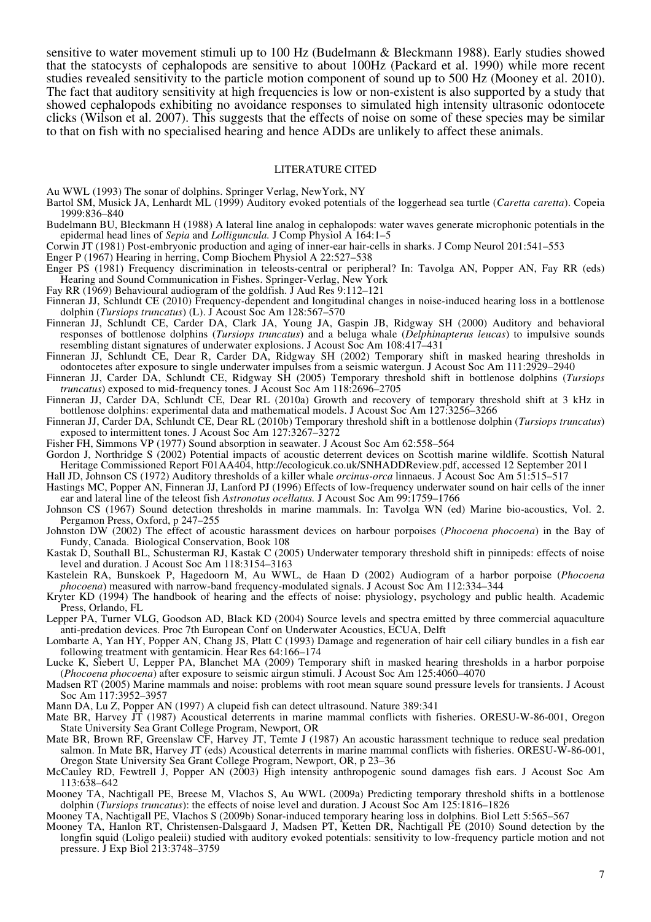sensitive to water movement stimuli up to 100 Hz (Budelmann & Bleckmann 1988). Early studies showed that the statocysts of cephalopods are sensitive to about 100Hz (Packard et al. 1990) while more recent studies revealed sensitivity to the particle motion component of sound up to 500 Hz (Mooney et al. 2010). The fact that auditory sensitivity at high frequencies is low or non-existent is also supported by a study that showed cephalopods exhibiting no avoidance responses to simulated high intensity ultrasonic odontocete clicks (Wilson et al. 2007). This suggests that the effects of noise on some of these species may be similar to that on fish with no specialised hearing and hence ADDs are unlikely to affect these animals.

#### LITERATURE CITED

Au WWL (1993) The sonar of dolphins. Springer Verlag, NewYork, NY

- Bartol SM, Musick JA, Lenhardt ML (1999) Auditory evoked potentials of the loggerhead sea turtle (*Caretta caretta*). Copeia 1999:836–840
- Budelmann BU, Bleckmann H (1988) A lateral line analog in cephalopods: water waves generate microphonic potentials in the epidermal head lines of *Sepia* and *Lolliguncula.* J Comp Physiol A 164:1–5

Corwin JT (1981) Post-embryonic production and aging of inner-ear hair-cells in sharks. J Comp Neurol 201:541–553

- Enger P (1967) Hearing in herring, Comp Biochem Physiol A 22:527–538
- Enger PS (1981) Frequency discrimination in teleosts-central or peripheral? In: Tavolga AN, Popper AN, Fay RR (eds) Hearing and Sound Communication in Fishes. Springer-Verlag, New York
- Fay RR (1969) Behavioural audiogram of the goldfish. J Aud Res 9:112–121
- Finneran JJ, Schlundt CE (2010) Frequency-dependent and longitudinal changes in noise-induced hearing loss in a bottlenose dolphin (*Tursiops truncatus*) (L). J Acoust Soc Am 128:567–570
- Finneran JJ, Schlundt CE, Carder DA, Clark JA, Young JA, Gaspin JB, Ridgway SH (2000) Auditory and behavioral responses of bottlenose dolphins (*Tursiops truncatus*) and a beluga whale (*Delphinapterus leucas*) to impulsive sounds resembling distant signatures of underwater explosions. J Acoust Soc Am 108:417–431
- Finneran JJ, Schlundt CE, Dear R, Carder DA, Ridgway SH (2002) Temporary shift in masked hearing thresholds in odontocetes after exposure to single underwater impulses from a seismic watergun. J Acoust Soc Am 111:2929–2940
- Finneran JJ, Carder DA, Schlundt CE, Ridgway SH (2005) Temporary threshold shift in bottlenose dolphins (*Tursiops truncatus*) exposed to mid-frequency tones. J Acoust Soc Am 118:2696–2705
- Finneran JJ, Carder DA, Schlundt CE, Dear RL (2010a) Growth and recovery of temporary threshold shift at 3 kHz in bottlenose dolphins: experimental data and mathematical models. J Acoust Soc Am 127:3256–3266
- Finneran JJ, Carder DA, Schlundt CE, Dear RL (2010b) Temporary threshold shift in a bottlenose dolphin (*Tursiops truncatus*) exposed to intermittent tones. J Acoust Soc Am 127:3267–3272
- Fisher FH, Simmons VP (1977) Sound absorption in seawater. J Acoust Soc Am 62:558–564
- Gordon J, Northridge S (2002) Potential impacts of acoustic deterrent devices on Scottish marine wildlife. Scottish Natural Heritage Commissioned Report F01AA404, http://ecologicuk.co.uk/SNHADDReview.pdf, accessed 12 September 2011
- Hall JD, Johnson CS (1972) Auditory thresholds of a killer whale *orcinus-orca* linnaeus. J Acoust Soc Am 51:515–517
- Hastings MC, Popper AN, Finneran JJ, Lanford PJ (1996) Effects of low-frequency underwater sound on hair cells of the inner ear and lateral line of the teleost fish *Astronotus ocellatus.* J Acoust Soc Am 99:1759–1766
- Johnson CS (1967) Sound detection thresholds in marine mammals. In: Tavolga WN (ed) Marine bio-acoustics, Vol. 2. Pergamon Press, Oxford, p 247–255
- Johnston DW (2002) The effect of acoustic harassment devices on harbour porpoises (*Phocoena phocoena*) in the Bay of Fundy, Canada. Biological Conservation, Book 108
- Kastak D, Southall BL, Schusterman RJ, Kastak C (2005) Underwater temporary threshold shift in pinnipeds: effects of noise level and duration. J Acoust Soc Am 118:3154–3163
- Kastelein RA, Bunskoek P, Hagedoorn M, Au WWL, de Haan D (2002) Audiogram of a harbor porpoise (*Phocoena phocoena*) measured with narrow-band frequency-modulated signals. J Acoust Soc Am 112:334–344
- Kryter KD (1994) The handbook of hearing and the effects of noise: physiology, psychology and public health. Academic Press, Orlando, FL
- Lepper PA, Turner VLG, Goodson AD, Black KD (2004) Source levels and spectra emitted by three commercial aquaculture anti-predation devices. Proc 7th European Conf on Underwater Acoustics, ECUA, Delft
- Lombarte A, Yan HY, Popper AN, Chang JS, Platt C (1993) Damage and regeneration of hair cell ciliary bundles in a fish ear following treatment with gentamicin. Hear Res 64:166–174
- Lucke K, Siebert U, Lepper PA, Blanchet MA (2009) Temporary shift in masked hearing thresholds in a harbor porpoise (*Phocoena phocoena*) after exposure to seismic airgun stimuli. J Acoust Soc Am 125:4060–4070
- Madsen RT (2005) Marine mammals and noise: problems with root mean square sound pressure levels for transients. J Acoust Soc Am 117:3952–3957

Mann DA, Lu Z, Popper AN (1997) A clupeid fish can detect ultrasound. Nature 389:341

- Mate BR, Harvey JT (1987) Acoustical deterrents in marine mammal conflicts with fisheries. ORESU-W-86-001, Oregon State University Sea Grant College Program, Newport, OR
- Mate BR, Brown RF, Greenslaw CF, Harvey JT, Temte J (1987) An acoustic harassment technique to reduce seal predation salmon. In Mate BR, Harvey JT (eds) Acoustical deterrents in marine mammal conflicts with fisheries. ORESU-W-86-001, Oregon State University Sea Grant College Program, Newport, OR, p 23–36
- McCauley RD, Fewtrell J, Popper AN (2003) High intensity anthropogenic sound damages fish ears. J Acoust Soc Am 113:638–642
- Mooney TA, Nachtigall PE, Breese M, Vlachos S, Au WWL (2009a) Predicting temporary threshold shifts in a bottlenose dolphin (*Tursiops truncatus*): the effects of noise level and duration. J Acoust Soc Am 125:1816–1826

Mooney TA, Nachtigall PE, Vlachos S (2009b) Sonar-induced temporary hearing loss in dolphins. Biol Lett 5:565–567

Mooney TA, Hanlon RT, Christensen-Dalsgaard J, Madsen PT, Ketten DR, Nachtigall PE (2010) Sound detection by the longfin squid (Loligo pealeii) studied with auditory evoked potentials: sensitivity to low-frequency particle motion and not pressure. J Exp Biol 213:3748–3759